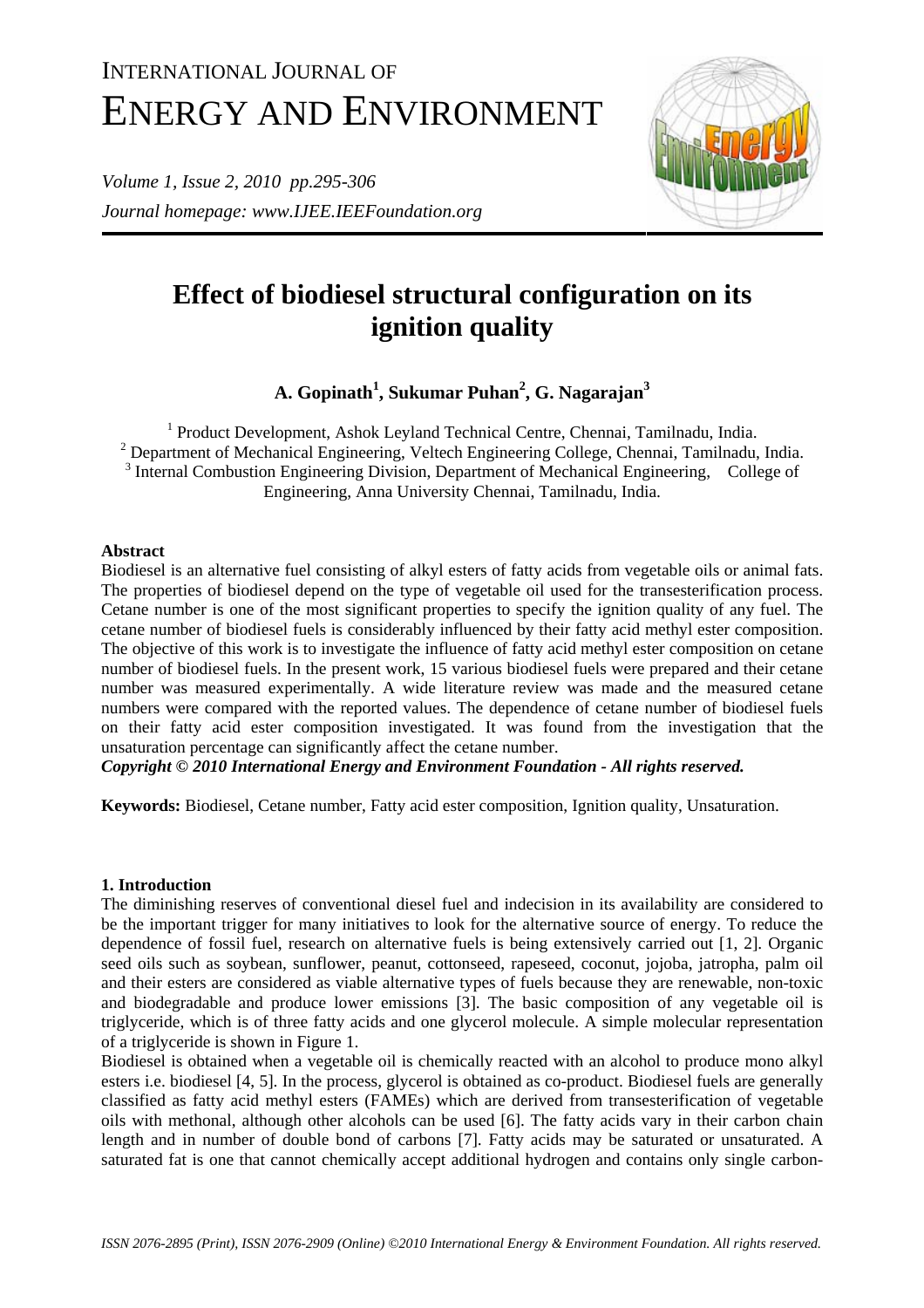# INTERNATIONAL JOURNAL OF ENERGY AND ENVIRONMENT

*Volume 1, Issue 2, 2010 pp.295-306 Journal homepage: www.IJEE.IEEFoundation.org* 



# **Effect of biodiesel structural configuration on its ignition quality**

**A. Gopinath1 , Sukumar Puhan2 , G. Nagarajan3**

<sup>1</sup> Product Development, Ashok Leyland Technical Centre, Chennai, Tamilnadu, India.  $2$  Department of Mechanical Engineering, Veltech Engineering College, Chennai, Tamilnadu, India. <sup>3</sup> Internal Combustion Engineering Division, Department of Mechanical Engineering, College of Engineering, Anna University Chennai, Tamilnadu, India.

# **Abstract**

Biodiesel is an alternative fuel consisting of alkyl esters of fatty acids from vegetable oils or animal fats. The properties of biodiesel depend on the type of vegetable oil used for the transesterification process. Cetane number is one of the most significant properties to specify the ignition quality of any fuel. The cetane number of biodiesel fuels is considerably influenced by their fatty acid methyl ester composition. The objective of this work is to investigate the influence of fatty acid methyl ester composition on cetane number of biodiesel fuels. In the present work, 15 various biodiesel fuels were prepared and their cetane number was measured experimentally. A wide literature review was made and the measured cetane numbers were compared with the reported values. The dependence of cetane number of biodiesel fuels on their fatty acid ester composition investigated. It was found from the investigation that the unsaturation percentage can significantly affect the cetane number.

*Copyright © 2010 International Energy and Environment Foundation - All rights reserved.*

**Keywords:** Biodiesel, Cetane number, Fatty acid ester composition, Ignition quality, Unsaturation.

## **1. Introduction**

The diminishing reserves of conventional diesel fuel and indecision in its availability are considered to be the important trigger for many initiatives to look for the alternative source of energy. To reduce the dependence of fossil fuel, research on alternative fuels is being extensively carried out [1, 2]. Organic seed oils such as soybean, sunflower, peanut, cottonseed, rapeseed, coconut, jojoba, jatropha, palm oil and their esters are considered as viable alternative types of fuels because they are renewable, non-toxic and biodegradable and produce lower emissions [3]. The basic composition of any vegetable oil is triglyceride, which is of three fatty acids and one glycerol molecule. A simple molecular representation of a triglyceride is shown in Figure 1.

Biodiesel is obtained when a vegetable oil is chemically reacted with an alcohol to produce mono alkyl esters i.e. biodiesel [4, 5]. In the process, glycerol is obtained as co-product. Biodiesel fuels are generally classified as fatty acid methyl esters (FAMEs) which are derived from transesterification of vegetable oils with methonal, although other alcohols can be used [6]. The fatty acids vary in their carbon chain length and in number of double bond of carbons [7]. Fatty acids may be saturated or unsaturated. A saturated fat is one that cannot chemically accept additional hydrogen and contains only single carbon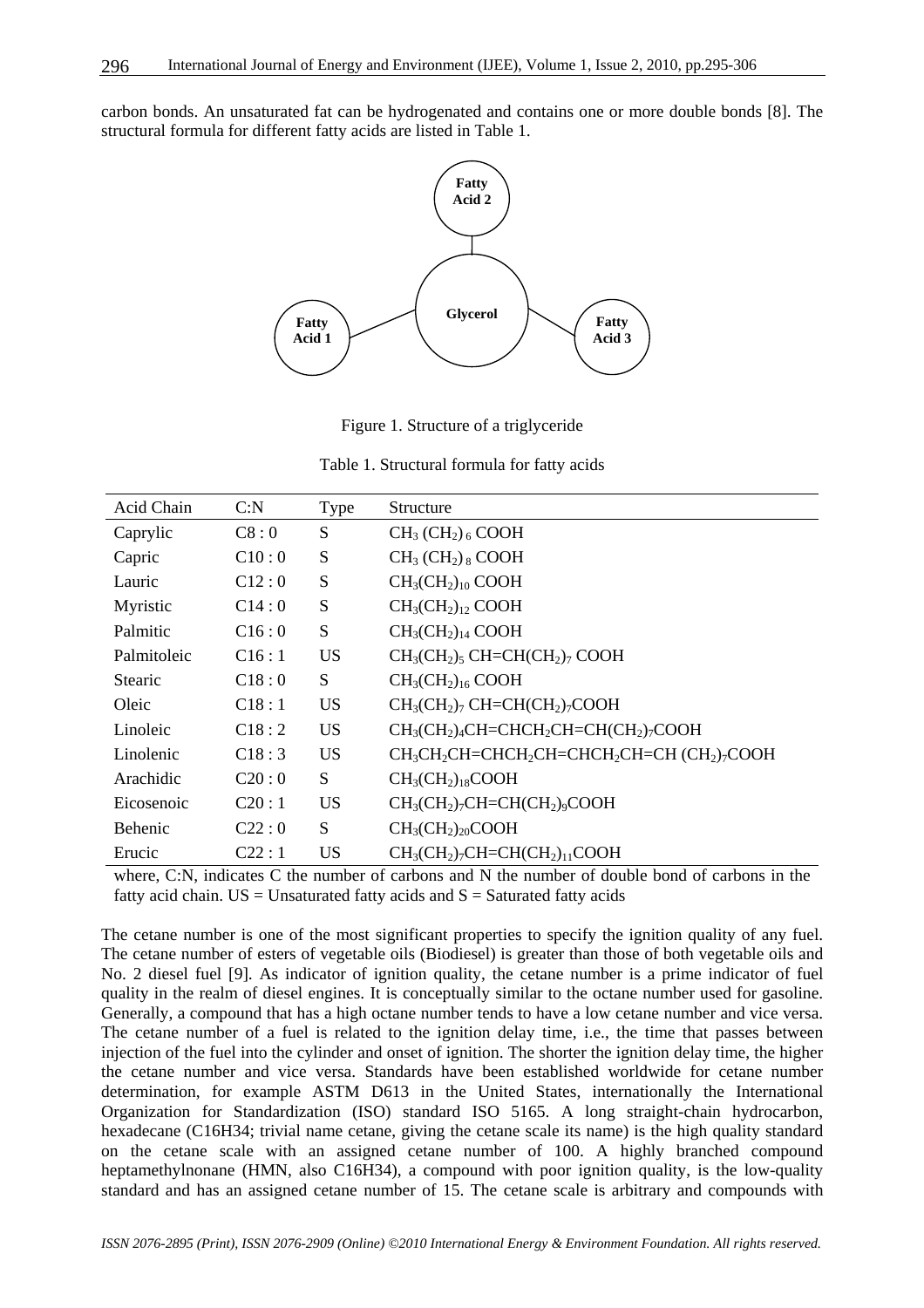carbon bonds. An unsaturated fat can be hydrogenated and contains one or more double bonds [8]. The structural formula for different fatty acids are listed in Table 1.



Figure 1. Structure of a triglyceride

|  | Table 1. Structural formula for fatty acids |  |  |  |  |
|--|---------------------------------------------|--|--|--|--|
|--|---------------------------------------------|--|--|--|--|

| Acid Chain     | C: N  | Type      | Structure                                                                                                            |
|----------------|-------|-----------|----------------------------------------------------------------------------------------------------------------------|
| Caprylic       | C8:0  | S         | $CH3 (CH2)6 COOH$                                                                                                    |
| Capric         | C10:0 | S         | $CH3 (CH2)8 COOH$                                                                                                    |
| Lauric         | C12:0 | S         | $CH3(CH2)10 COOH$                                                                                                    |
| Myristic       | C14:0 | S         | $CH_3CH_2)_{12}$ COOH                                                                                                |
| Palmitic       | C16:0 | S         | $CH3(CH2)14 COOH$                                                                                                    |
| Palmitoleic    | C16:1 | <b>US</b> | $CH3(CH2)5 CH=CH(CH2)7 COOH$                                                                                         |
| <b>Stearic</b> | C18:0 | S         | $CH3(CH2)16 COOH$                                                                                                    |
| Oleic          | C18:1 | <b>US</b> | $CH3(CH2)7 CH=CH(CH2)7 COOH$                                                                                         |
| Linoleic       | C18:2 | <b>US</b> | $CH_3CH_2$ <sub>4</sub> $CH=CHCH_2CH=CH(CH_2)$ <sub>7</sub> COOH                                                     |
| Linolenic      | C18:3 | <b>US</b> | CH <sub>3</sub> CH <sub>2</sub> CH=CHCH <sub>2</sub> CH=CHCH <sub>2</sub> CH=CH (CH <sub>2</sub> ) <sub>7</sub> COOH |
| Arachidic      | C20:0 | S         | $CH3(CH2)18COOH$                                                                                                     |
| Eicosenoic     | C20:1 | <b>US</b> | $CH3(CH2)7CH=CH(CH2)9COOH$                                                                                           |
| Behenic        | C22:0 | S         | $CH3(CH2)20COOH$                                                                                                     |
| Erucic         | C22:1 | <b>US</b> | $CH3(CH2)7CH=CH(CH2)11COOH$                                                                                          |

where, C:N, indicates C the number of carbons and N the number of double bond of carbons in the fatty acid chain.  $US = Unsaturated$  fatty acids and  $S = Saturated$  fatty acids

The cetane number is one of the most significant properties to specify the ignition quality of any fuel. The cetane number of esters of vegetable oils (Biodiesel) is greater than those of both vegetable oils and No. 2 diesel fuel [9]. As indicator of ignition quality, the cetane number is a prime indicator of fuel quality in the realm of diesel engines. It is conceptually similar to the octane number used for gasoline. Generally, a compound that has a high octane number tends to have a low cetane number and vice versa. The cetane number of a fuel is related to the ignition delay time, i.e., the time that passes between injection of the fuel into the cylinder and onset of ignition. The shorter the ignition delay time, the higher the cetane number and vice versa. Standards have been established worldwide for cetane number determination, for example ASTM D613 in the United States, internationally the International Organization for Standardization (ISO) standard ISO 5165. A long straight-chain hydrocarbon, hexadecane (C16H34; trivial name cetane, giving the cetane scale its name) is the high quality standard on the cetane scale with an assigned cetane number of 100. A highly branched compound heptamethylnonane (HMN, also C16H34), a compound with poor ignition quality, is the low-quality standard and has an assigned cetane number of 15. The cetane scale is arbitrary and compounds with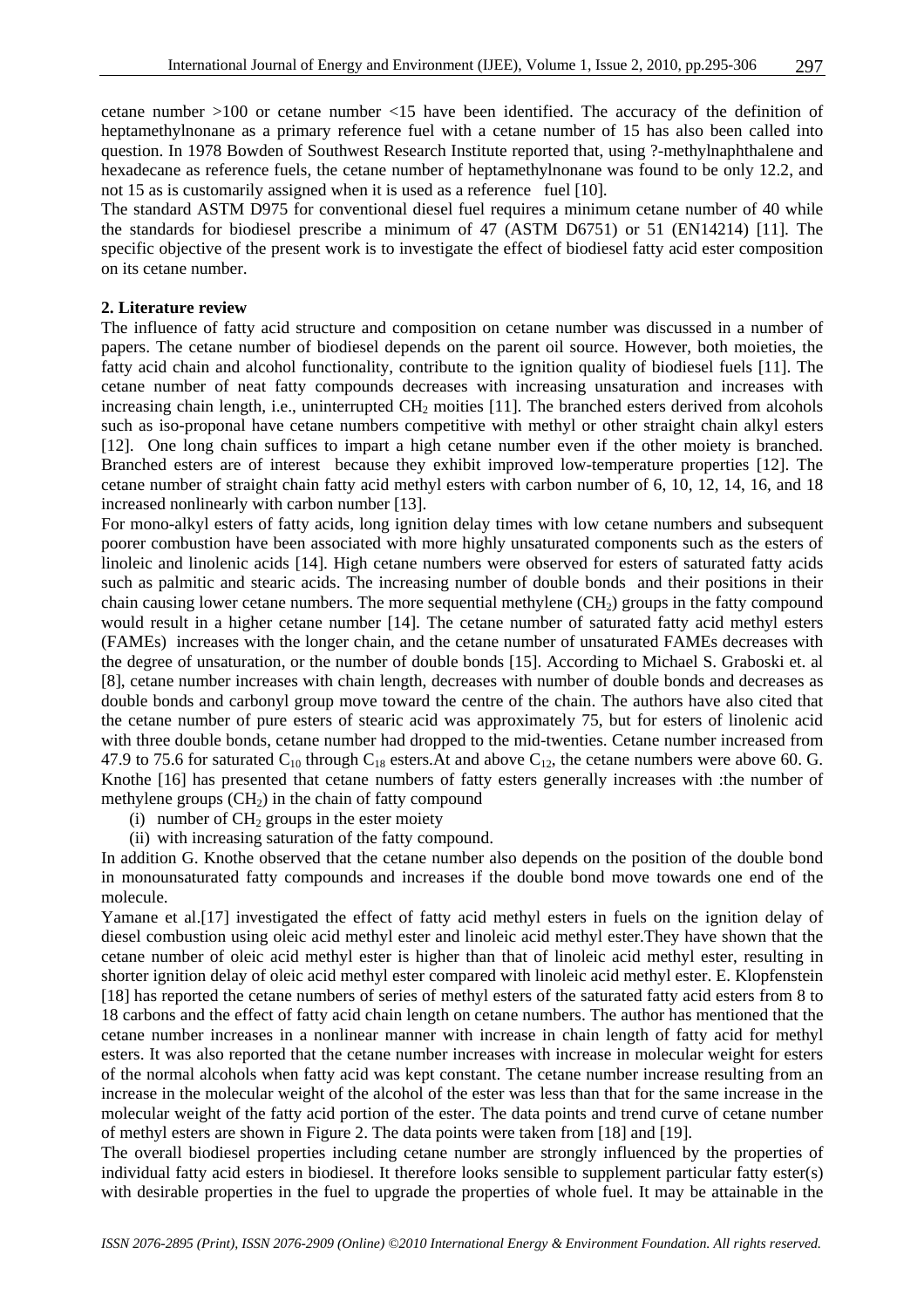cetane number >100 or cetane number <15 have been identified. The accuracy of the definition of heptamethylnonane as a primary reference fuel with a cetane number of 15 has also been called into question. In 1978 Bowden of Southwest Research Institute reported that, using ?-methylnaphthalene and hexadecane as reference fuels, the cetane number of heptamethylnonane was found to be only 12.2, and not 15 as is customarily assigned when it is used as a reference fuel [10].

The standard ASTM D975 for conventional diesel fuel requires a minimum cetane number of 40 while the standards for biodiesel prescribe a minimum of 47 (ASTM D6751) or 51 (EN14214) [11]. The specific objective of the present work is to investigate the effect of biodiesel fatty acid ester composition on its cetane number.

#### **2. Literature review**

The influence of fatty acid structure and composition on cetane number was discussed in a number of papers. The cetane number of biodiesel depends on the parent oil source. However, both moieties, the fatty acid chain and alcohol functionality, contribute to the ignition quality of biodiesel fuels [11]. The cetane number of neat fatty compounds decreases with increasing unsaturation and increases with increasing chain length, i.e., uninterrupted  $CH<sub>2</sub>$  moities [11]. The branched esters derived from alcohols such as iso-proponal have cetane numbers competitive with methyl or other straight chain alkyl esters [12]. One long chain suffices to impart a high cetane number even if the other moiety is branched. Branched esters are of interest because they exhibit improved low-temperature properties [12]. The cetane number of straight chain fatty acid methyl esters with carbon number of 6, 10, 12, 14, 16, and 18 increased nonlinearly with carbon number [13].

For mono-alkyl esters of fatty acids, long ignition delay times with low cetane numbers and subsequent poorer combustion have been associated with more highly unsaturated components such as the esters of linoleic and linolenic acids [14]. High cetane numbers were observed for esters of saturated fatty acids such as palmitic and stearic acids. The increasing number of double bonds and their positions in their chain causing lower cetane numbers. The more sequential methylene  $(CH<sub>2</sub>)$  groups in the fatty compound would result in a higher cetane number [14]. The cetane number of saturated fatty acid methyl esters (FAMEs) increases with the longer chain, and the cetane number of unsaturated FAMEs decreases with the degree of unsaturation, or the number of double bonds [15]. According to Michael S. Graboski et. al [8], cetane number increases with chain length, decreases with number of double bonds and decreases as double bonds and carbonyl group move toward the centre of the chain. The authors have also cited that the cetane number of pure esters of stearic acid was approximately 75, but for esters of linolenic acid with three double bonds, cetane number had dropped to the mid-twenties. Cetane number increased from 47.9 to 75.6 for saturated  $C_{10}$  through  $C_{18}$  esters. At and above  $C_{12}$ , the cetane numbers were above 60. G. Knothe [16] has presented that cetane numbers of fatty esters generally increases with :the number of methylene groups  $(CH<sub>2</sub>)$  in the chain of fatty compound

(i) number of  $CH<sub>2</sub>$  groups in the ester moiety

(ii) with increasing saturation of the fatty compound.

In addition G. Knothe observed that the cetane number also depends on the position of the double bond in monounsaturated fatty compounds and increases if the double bond move towards one end of the molecule.

Yamane et al.[17] investigated the effect of fatty acid methyl esters in fuels on the ignition delay of diesel combustion using oleic acid methyl ester and linoleic acid methyl ester.They have shown that the cetane number of oleic acid methyl ester is higher than that of linoleic acid methyl ester, resulting in shorter ignition delay of oleic acid methyl ester compared with linoleic acid methyl ester. E. Klopfenstein [18] has reported the cetane numbers of series of methyl esters of the saturated fatty acid esters from 8 to 18 carbons and the effect of fatty acid chain length on cetane numbers. The author has mentioned that the cetane number increases in a nonlinear manner with increase in chain length of fatty acid for methyl esters. It was also reported that the cetane number increases with increase in molecular weight for esters of the normal alcohols when fatty acid was kept constant. The cetane number increase resulting from an increase in the molecular weight of the alcohol of the ester was less than that for the same increase in the molecular weight of the fatty acid portion of the ester. The data points and trend curve of cetane number of methyl esters are shown in Figure 2. The data points were taken from [18] and [19].

The overall biodiesel properties including cetane number are strongly influenced by the properties of individual fatty acid esters in biodiesel. It therefore looks sensible to supplement particular fatty ester(s) with desirable properties in the fuel to upgrade the properties of whole fuel. It may be attainable in the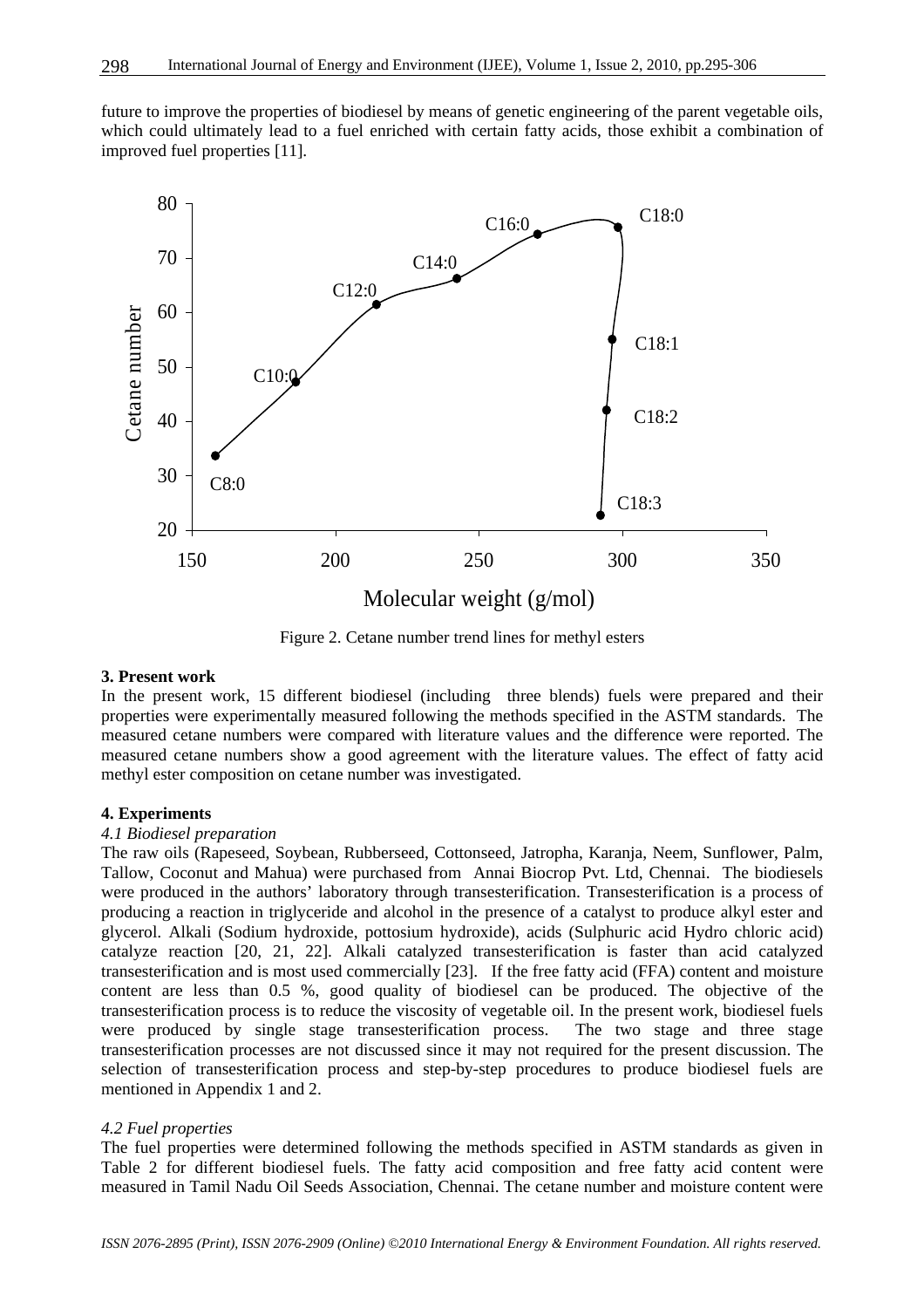future to improve the properties of biodiesel by means of genetic engineering of the parent vegetable oils, which could ultimately lead to a fuel enriched with certain fatty acids, those exhibit a combination of improved fuel properties [11].



Figure 2. Cetane number trend lines for methyl esters

### **3. Present work**

In the present work, 15 different biodiesel (including three blends) fuels were prepared and their properties were experimentally measured following the methods specified in the ASTM standards. The measured cetane numbers were compared with literature values and the difference were reported. The measured cetane numbers show a good agreement with the literature values. The effect of fatty acid methyl ester composition on cetane number was investigated.

#### **4. Experiments**

#### *4.1 Biodiesel preparation*

The raw oils (Rapeseed, Soybean, Rubberseed, Cottonseed, Jatropha, Karanja, Neem, Sunflower, Palm, Tallow, Coconut and Mahua) were purchased from Annai Biocrop Pvt. Ltd, Chennai. The biodiesels were produced in the authors' laboratory through transesterification. Transesterification is a process of producing a reaction in triglyceride and alcohol in the presence of a catalyst to produce alkyl ester and glycerol. Alkali (Sodium hydroxide, pottosium hydroxide), acids (Sulphuric acid Hydro chloric acid) catalyze reaction [20, 21, 22]. Alkali catalyzed transesterification is faster than acid catalyzed transesterification and is most used commercially [23]. If the free fatty acid (FFA) content and moisture content are less than 0.5 %, good quality of biodiesel can be produced. The objective of the transesterification process is to reduce the viscosity of vegetable oil. In the present work, biodiesel fuels were produced by single stage transesterification process. The two stage and three stage transesterification processes are not discussed since it may not required for the present discussion. The selection of transesterification process and step-by-step procedures to produce biodiesel fuels are mentioned in Appendix 1 and 2.

#### *4.2 Fuel properties*

The fuel properties were determined following the methods specified in ASTM standards as given in Table 2 for different biodiesel fuels. The fatty acid composition and free fatty acid content were measured in Tamil Nadu Oil Seeds Association, Chennai. The cetane number and moisture content were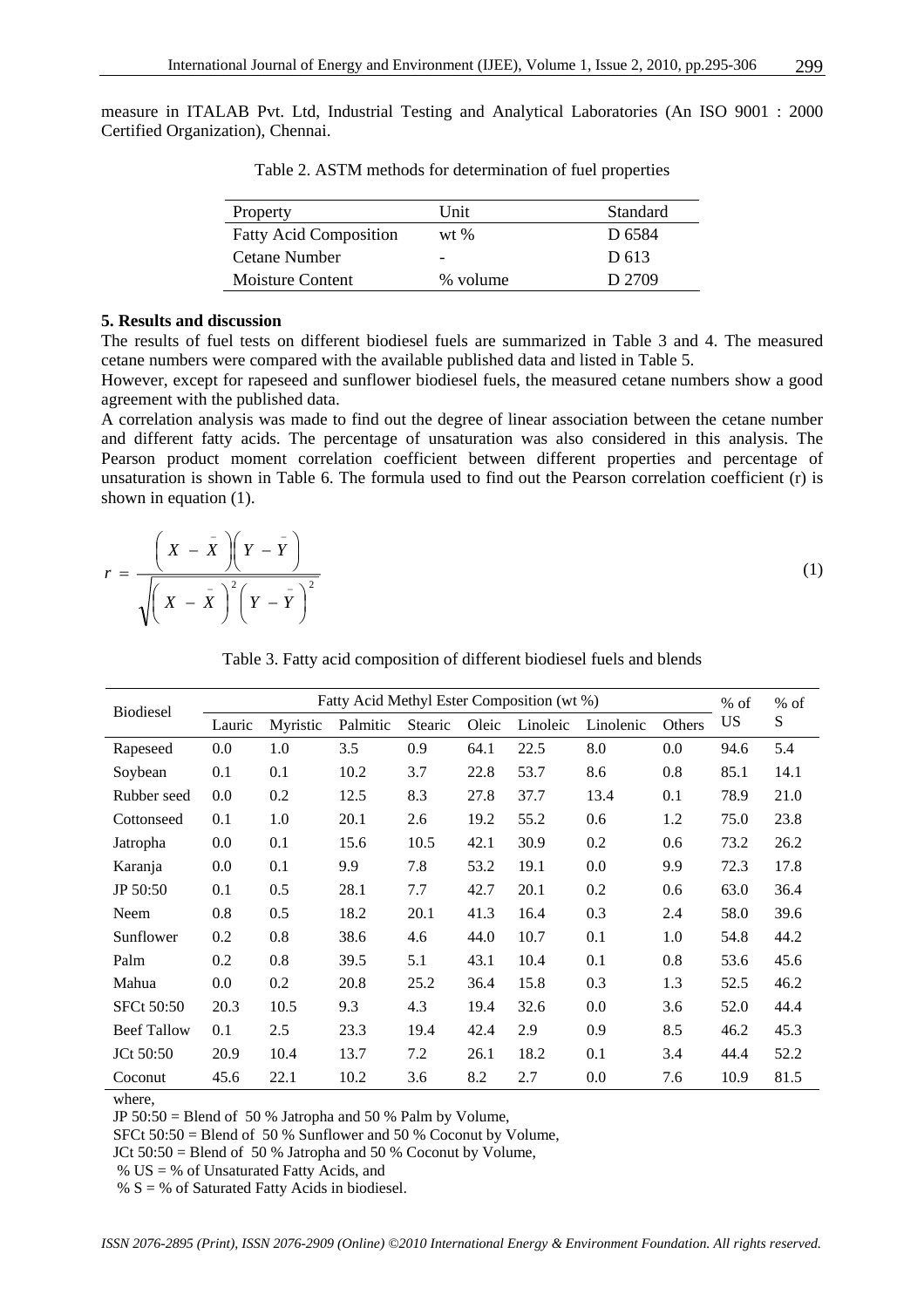measure in ITALAB Pvt. Ltd, Industrial Testing and Analytical Laboratories (An ISO 9001 : 2000 Certified Organization), Chennai.

| Property                      | Unit     | Standard          |
|-------------------------------|----------|-------------------|
| <b>Fatty Acid Composition</b> | $wt$ %   | D <sub>6584</sub> |
| Cetane Number                 |          | D 613             |
| Moisture Content              | % volume | D 2709            |

Table 2. ASTM methods for determination of fuel properties

#### **5. Results and discussion**

The results of fuel tests on different biodiesel fuels are summarized in Table 3 and 4. The measured cetane numbers were compared with the available published data and listed in Table 5.

However, except for rapeseed and sunflower biodiesel fuels, the measured cetane numbers show a good agreement with the published data.

A correlation analysis was made to find out the degree of linear association between the cetane number and different fatty acids. The percentage of unsaturation was also considered in this analysis. The Pearson product moment correlation coefficient between different properties and percentage of unsaturation is shown in Table 6. The formula used to find out the Pearson correlation coefficient (r) is shown in equation (1).

$$
r = \frac{\left(X - \bar{X}\right)\left(Y - \bar{Y}\right)}{\sqrt{\left(X - \bar{X}\right)^2\left(Y - \bar{Y}\right)^2}}
$$
\n(1)

Table 3. Fatty acid composition of different biodiesel fuels and blends

| <b>Biodiesel</b>   | Fatty Acid Methyl Ester Composition (wt %) |          |          |                |       | $%$ of   | $%$ of    |        |      |      |
|--------------------|--------------------------------------------|----------|----------|----------------|-------|----------|-----------|--------|------|------|
|                    | Lauric                                     | Myristic | Palmitic | <b>Stearic</b> | Oleic | Linoleic | Linolenic | Others | US   | S    |
| Rapeseed           | 0.0                                        | 1.0      | 3.5      | 0.9            | 64.1  | 22.5     | 8.0       | 0.0    | 94.6 | 5.4  |
| Soybean            | 0.1                                        | 0.1      | 10.2     | 3.7            | 22.8  | 53.7     | 8.6       | 0.8    | 85.1 | 14.1 |
| Rubber seed        | 0.0                                        | 0.2      | 12.5     | 8.3            | 27.8  | 37.7     | 13.4      | 0.1    | 78.9 | 21.0 |
| Cottonseed         | 0.1                                        | 1.0      | 20.1     | 2.6            | 19.2  | 55.2     | 0.6       | 1.2    | 75.0 | 23.8 |
| Jatropha           | 0.0                                        | 0.1      | 15.6     | 10.5           | 42.1  | 30.9     | 0.2       | 0.6    | 73.2 | 26.2 |
| Karanja            | 0.0                                        | 0.1      | 9.9      | 7.8            | 53.2  | 19.1     | 0.0       | 9.9    | 72.3 | 17.8 |
| JP 50:50           | 0.1                                        | 0.5      | 28.1     | 7.7            | 42.7  | 20.1     | 0.2       | 0.6    | 63.0 | 36.4 |
| Neem               | 0.8                                        | 0.5      | 18.2     | 20.1           | 41.3  | 16.4     | 0.3       | 2.4    | 58.0 | 39.6 |
| Sunflower          | 0.2                                        | 0.8      | 38.6     | 4.6            | 44.0  | 10.7     | 0.1       | 1.0    | 54.8 | 44.2 |
| Palm               | 0.2                                        | 0.8      | 39.5     | 5.1            | 43.1  | 10.4     | 0.1       | 0.8    | 53.6 | 45.6 |
| Mahua              | 0.0                                        | 0.2      | 20.8     | 25.2           | 36.4  | 15.8     | 0.3       | 1.3    | 52.5 | 46.2 |
| <b>SFCt 50:50</b>  | 20.3                                       | 10.5     | 9.3      | 4.3            | 19.4  | 32.6     | 0.0       | 3.6    | 52.0 | 44.4 |
| <b>Beef Tallow</b> | 0.1                                        | 2.5      | 23.3     | 19.4           | 42.4  | 2.9      | 0.9       | 8.5    | 46.2 | 45.3 |
| JCt 50:50          | 20.9                                       | 10.4     | 13.7     | 7.2            | 26.1  | 18.2     | 0.1       | 3.4    | 44.4 | 52.2 |
| Coconut            | 45.6                                       | 22.1     | 10.2     | 3.6            | 8.2   | 2.7      | 0.0       | 7.6    | 10.9 | 81.5 |

where,

JP 50:50 = Blend of 50 % Jatropha and 50 % Palm by Volume,

SFCt 50:50 = Blend of 50 % Sunflower and 50 % Coconut by Volume,

JCt 50:50 = Blend of 50 % Jatropha and 50 % Coconut by Volume,

% US = % of Unsaturated Fatty Acids, and

%  $S =$  % of Saturated Fatty Acids in biodiesel.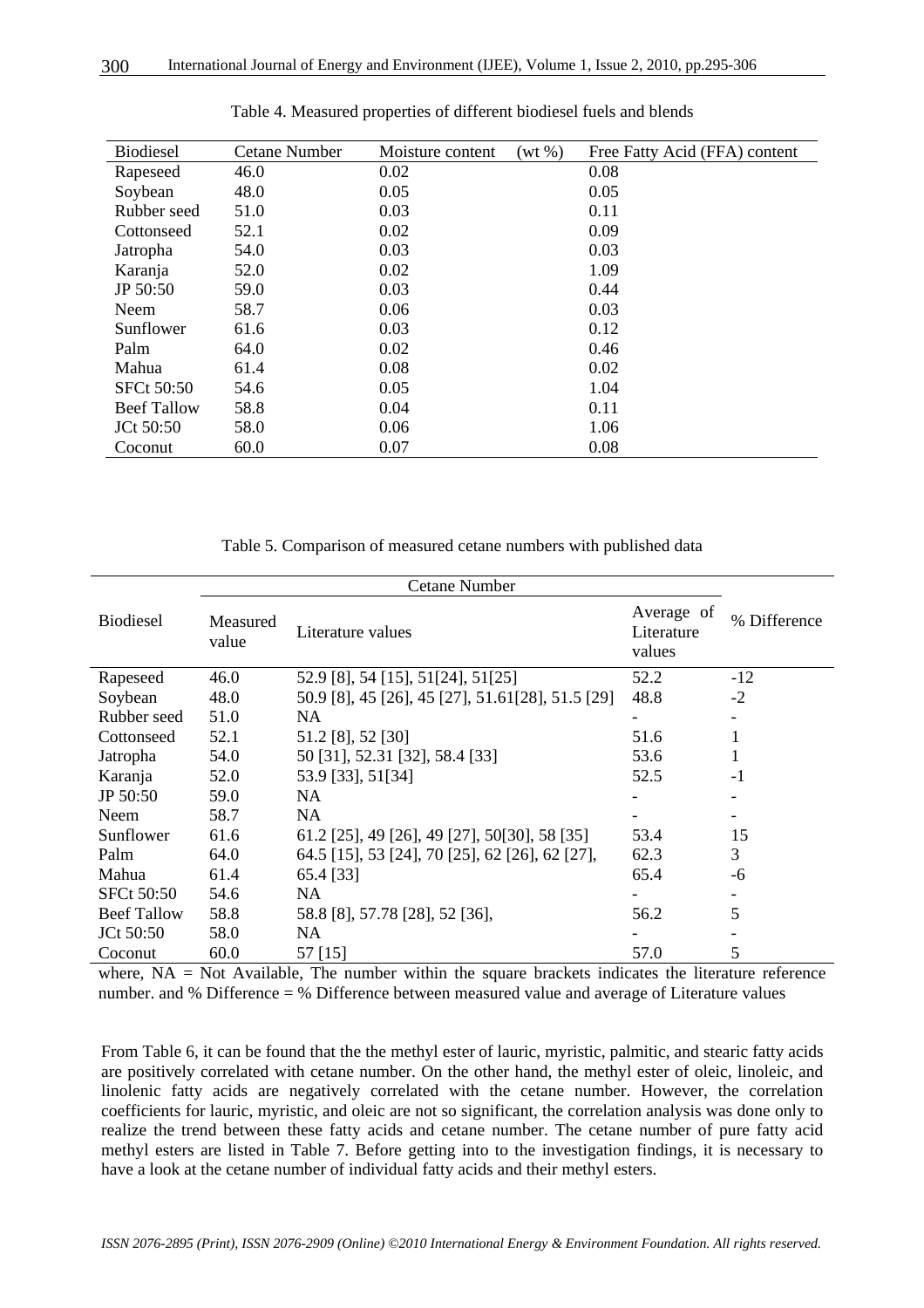| <b>Biodiesel</b>   | <b>Cetane Number</b> | Moisture content | $(wt \%)$ | Free Fatty Acid (FFA) content |
|--------------------|----------------------|------------------|-----------|-------------------------------|
| Rapeseed           | 46.0                 | 0.02             |           | 0.08                          |
| Soybean            | 48.0                 | 0.05             |           | 0.05                          |
| Rubber seed        | 51.0                 | 0.03             |           | 0.11                          |
| Cottonseed         | 52.1                 | 0.02             |           | 0.09                          |
| Jatropha           | 54.0                 | 0.03             |           | 0.03                          |
| Karanja            | 52.0                 | 0.02             |           | 1.09                          |
| JP 50:50           | 59.0                 | 0.03             |           | 0.44                          |
| Neem               | 58.7                 | 0.06             |           | 0.03                          |
| Sunflower          | 61.6                 | 0.03             |           | 0.12                          |
| Palm               | 64.0                 | 0.02             |           | 0.46                          |
| Mahua              | 61.4                 | 0.08             |           | 0.02                          |
| <b>SFCt 50:50</b>  | 54.6                 | 0.05             |           | 1.04                          |
| <b>Beef Tallow</b> | 58.8                 | 0.04             |           | 0.11                          |
| JCt 50:50          | 58.0                 | 0.06             |           | 1.06                          |
| Coconut            | 60.0                 | 0.07             |           | 0.08                          |

Table 4. Measured properties of different biodiesel fuels and blends

Table 5. Comparison of measured cetane numbers with published data

| <b>Biodiesel</b>   | Measured<br>value | Literature values                                 | Average of<br>Literature<br>values | % Difference |
|--------------------|-------------------|---------------------------------------------------|------------------------------------|--------------|
| Rapeseed           | 46.0              | 52.9 [8], 54 [15], 51[24], 51[25]                 | 52.2                               | $-12$        |
| Soybean            | 48.0              | 50.9 [8], 45 [26], 45 [27], 51.61 [28], 51.5 [29] | 48.8                               | $-2$         |
| Rubber seed        | 51.0              | NA                                                |                                    |              |
| Cottonseed         | 52.1              | 51.2 [8], 52 [30]                                 | 51.6                               | 1            |
| Jatropha           | 54.0              | 50 [31], 52.31 [32], 58.4 [33]                    | 53.6                               | 1            |
| Karanja            | 52.0              | 53.9 [33], 51[34]                                 | 52.5                               | $-1$         |
| JP 50:50           | 59.0              | NA.                                               |                                    |              |
| Neem               | 58.7              | <b>NA</b>                                         |                                    |              |
| Sunflower          | 61.6              | 61.2 [25], 49 [26], 49 [27], 50[30], 58 [35]      | 53.4                               | 15           |
| Palm               | 64.0              | 64.5 [15], 53 [24], 70 [25], 62 [26], 62 [27],    | 62.3                               | 3            |
| Mahua              | 61.4              | 65.4 [33]                                         | 65.4                               | -6           |
| <b>SFCt 50:50</b>  | 54.6              | NA                                                |                                    |              |
| <b>Beef Tallow</b> | 58.8              | 58.8 [8], 57.78 [28], 52 [36],                    | 56.2                               | 5            |
| JCt 50:50          | 58.0              | NA                                                |                                    |              |
| Coconut            | 60.0              | 57 [15]                                           | 57.0                               | 5            |

where,  $NA = Not$  Available, The number within the square brackets indicates the literature reference number. and % Difference = % Difference between measured value and average of Literature values

From Table 6, it can be found that the the methyl ester of lauric, myristic, palmitic, and stearic fatty acids are positively correlated with cetane number. On the other hand, the methyl ester of oleic, linoleic, and linolenic fatty acids are negatively correlated with the cetane number. However, the correlation coefficients for lauric, myristic, and oleic are not so significant, the correlation analysis was done only to realize the trend between these fatty acids and cetane number. The cetane number of pure fatty acid methyl esters are listed in Table 7. Before getting into to the investigation findings, it is necessary to have a look at the cetane number of individual fatty acids and their methyl esters.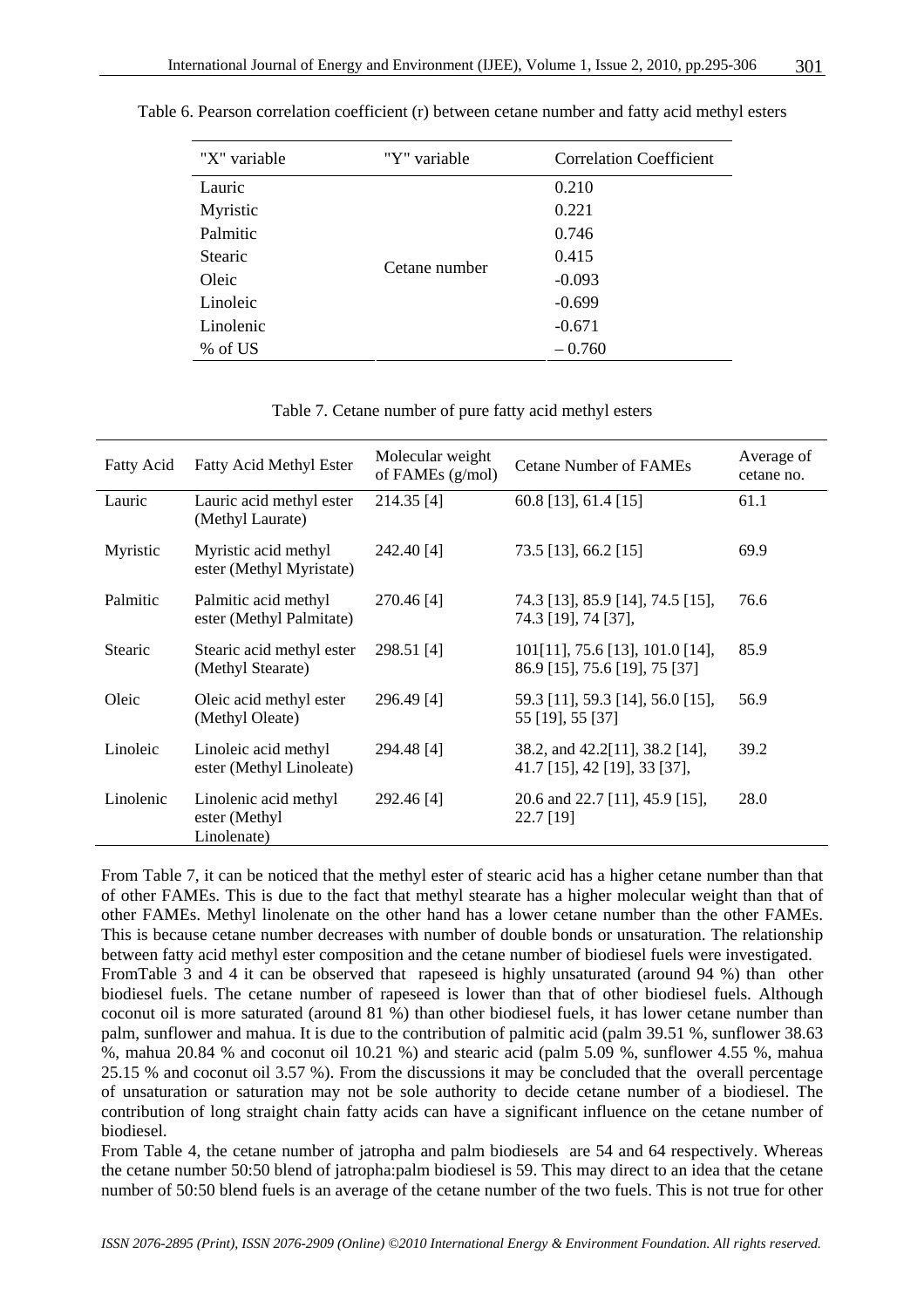| "X" variable   | "Y" variable  | <b>Correlation Coefficient</b> |
|----------------|---------------|--------------------------------|
| Lauric         |               | 0.210                          |
| Myristic       |               | 0.221                          |
| Palmitic       |               | 0.746                          |
| <b>Stearic</b> | Cetane number | 0.415                          |
| Oleic          |               | $-0.093$                       |
| Linoleic       |               | $-0.699$                       |
| Linolenic      |               | $-0.671$                       |
| % of US        |               | $-0.760$                       |

Table 6. Pearson correlation coefficient (r) between cetane number and fatty acid methyl esters

Table 7. Cetane number of pure fatty acid methyl esters

| Fatty Acid     | <b>Fatty Acid Methyl Ester</b>                        | Molecular weight<br>of FAMEs (g/mol) | <b>Cetane Number of FAMEs</b>                                       | Average of<br>cetane no. |
|----------------|-------------------------------------------------------|--------------------------------------|---------------------------------------------------------------------|--------------------------|
| Lauric         | Lauric acid methyl ester<br>(Methyl Laurate)          | 214.35 [4]                           | $60.8$ [13], 61.4 [15]                                              | 61.1                     |
| Myristic       | Myristic acid methyl<br>ester (Methyl Myristate)      | 242.40 [4]                           | 73.5 [13], 66.2 [15]                                                | 69.9                     |
| Palmitic       | Palmitic acid methyl<br>ester (Methyl Palmitate)      | 270.46 [4]                           | 74.3 [13], 85.9 [14], 74.5 [15],<br>74.3 [19], 74 [37],             | 76.6                     |
| <b>Stearic</b> | Stearic acid methyl ester<br>(Methyl Stearate)        | 298.51 [4]                           | $101[11]$ , 75.6 [13], 101.0 [14],<br>86.9 [15], 75.6 [19], 75 [37] | 85.9                     |
| Oleic          | Oleic acid methyl ester<br>(Methyl Oleate)            | 296.49 [4]                           | 59.3 [11], 59.3 [14], 56.0 [15],<br>55 [19], 55 [37]                | 56.9                     |
| Linoleic       | Linoleic acid methyl<br>ester (Methyl Linoleate)      | 294.48 [4]                           | 38.2, and 42.2[11], 38.2 [14],<br>41.7 [15], 42 [19], 33 [37],      | 39.2                     |
| Linolenic      | Linolenic acid methyl<br>ester (Methyl<br>Linolenate) | 292.46 [4]                           | 20.6 and 22.7 [11], 45.9 [15],<br>22.7 [19]                         | 28.0                     |

From Table 7, it can be noticed that the methyl ester of stearic acid has a higher cetane number than that of other FAMEs. This is due to the fact that methyl stearate has a higher molecular weight than that of other FAMEs. Methyl linolenate on the other hand has a lower cetane number than the other FAMEs. This is because cetane number decreases with number of double bonds or unsaturation. The relationship between fatty acid methyl ester composition and the cetane number of biodiesel fuels were investigated. FromTable 3 and 4 it can be observed that rapeseed is highly unsaturated (around 94 %) than other biodiesel fuels. The cetane number of rapeseed is lower than that of other biodiesel fuels. Although coconut oil is more saturated (around 81 %) than other biodiesel fuels, it has lower cetane number than palm, sunflower and mahua. It is due to the contribution of palmitic acid (palm 39.51 %, sunflower 38.63 %, mahua 20.84 % and coconut oil 10.21 %) and stearic acid (palm 5.09 %, sunflower 4.55 %, mahua 25.15 % and coconut oil 3.57 %). From the discussions it may be concluded that the overall percentage of unsaturation or saturation may not be sole authority to decide cetane number of a biodiesel. The contribution of long straight chain fatty acids can have a significant influence on the cetane number of biodiesel.

From Table 4, the cetane number of jatropha and palm biodiesels are 54 and 64 respectively. Whereas the cetane number 50:50 blend of jatropha:palm biodiesel is 59. This may direct to an idea that the cetane number of 50:50 blend fuels is an average of the cetane number of the two fuels. This is not true for other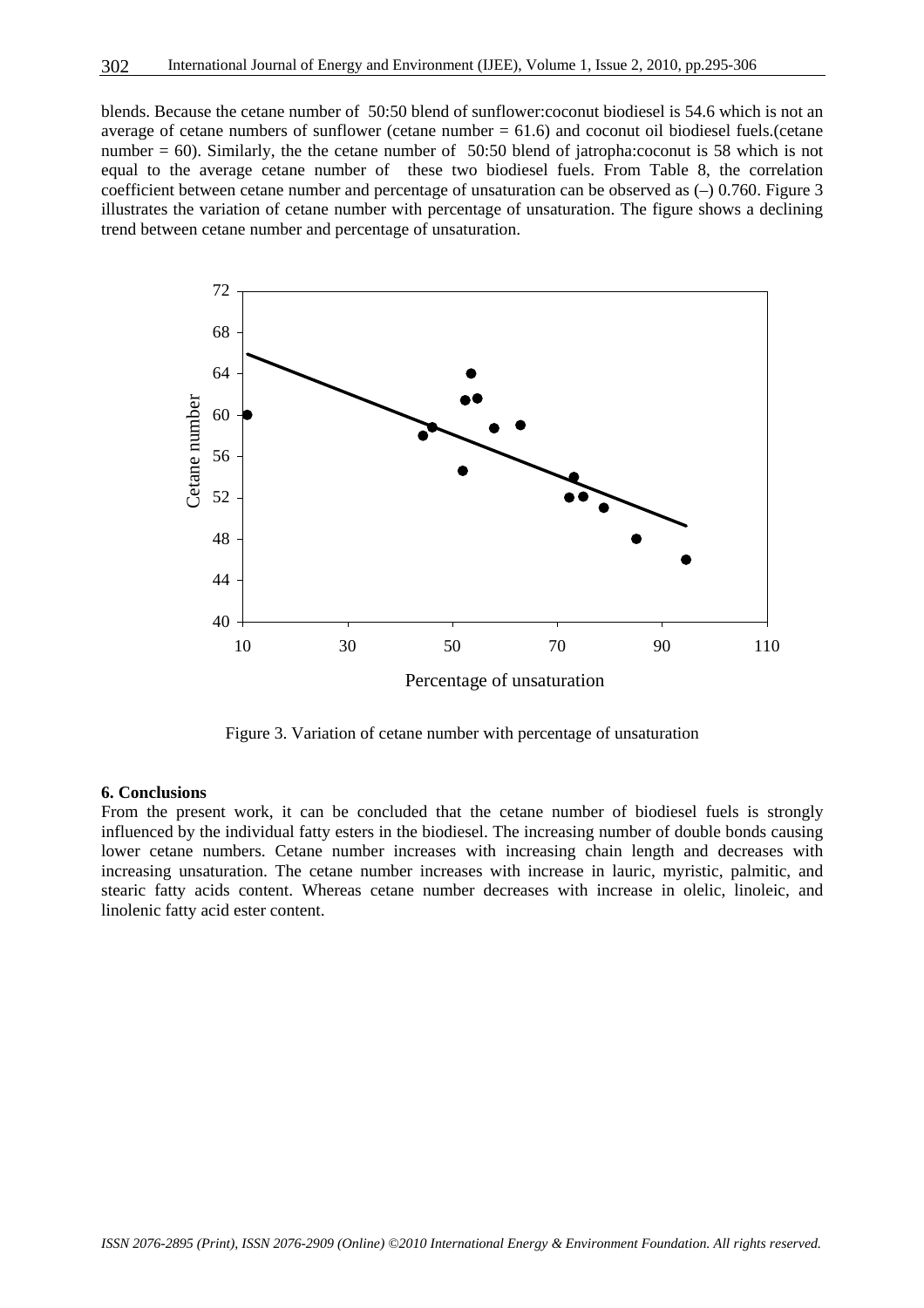blends. Because the cetane number of 50:50 blend of sunflower:coconut biodiesel is 54.6 which is not an average of cetane numbers of sunflower (cetane number  $= 61.6$ ) and coconut oil biodiesel fuels. (cetane number = 60). Similarly, the the cetane number of 50:50 blend of jatropha:coconut is 58 which is not equal to the average cetane number of these two biodiesel fuels. From Table 8, the correlation coefficient between cetane number and percentage of unsaturation can be observed as (–) 0.760. Figure 3 illustrates the variation of cetane number with percentage of unsaturation. The figure shows a declining trend between cetane number and percentage of unsaturation.



Figure 3. Variation of cetane number with percentage of unsaturation

#### **6. Conclusions**

From the present work, it can be concluded that the cetane number of biodiesel fuels is strongly influenced by the individual fatty esters in the biodiesel. The increasing number of double bonds causing lower cetane numbers. Cetane number increases with increasing chain length and decreases with increasing unsaturation. The cetane number increases with increase in lauric, myristic, palmitic, and stearic fatty acids content. Whereas cetane number decreases with increase in olelic, linoleic, and linolenic fatty acid ester content.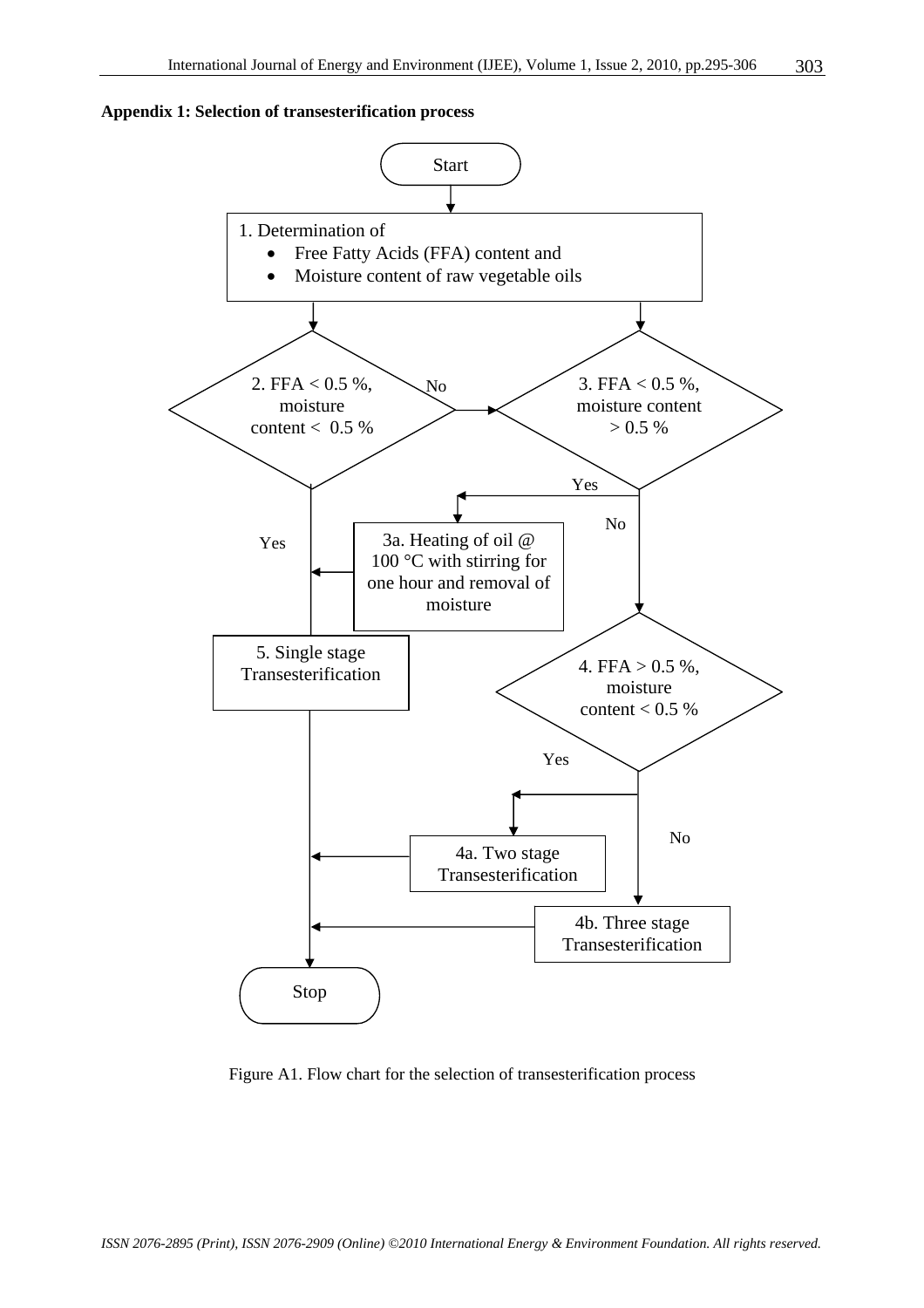



Figure A1. Flow chart for the selection of transesterification process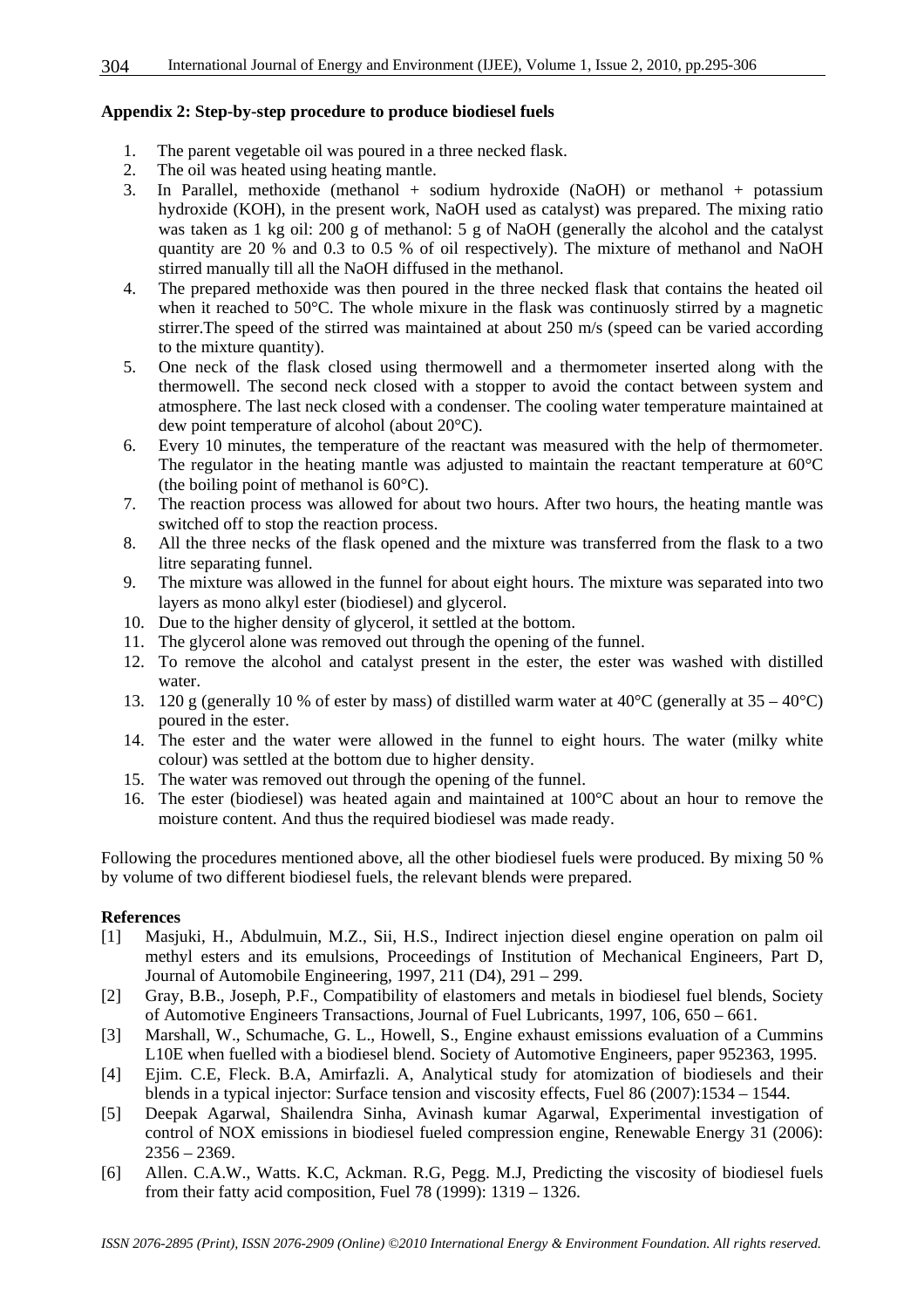#### **Appendix 2: Step-by-step procedure to produce biodiesel fuels**

- 1. The parent vegetable oil was poured in a three necked flask.
- 2. The oil was heated using heating mantle.
- 3. In Parallel, methoxide (methanol + sodium hydroxide (NaOH) or methanol + potassium hydroxide (KOH), in the present work, NaOH used as catalyst) was prepared. The mixing ratio was taken as 1 kg oil: 200 g of methanol: 5 g of NaOH (generally the alcohol and the catalyst quantity are 20 % and 0.3 to 0.5 % of oil respectively). The mixture of methanol and NaOH stirred manually till all the NaOH diffused in the methanol.
- 4. The prepared methoxide was then poured in the three necked flask that contains the heated oil when it reached to 50°C. The whole mixure in the flask was continuosly stirred by a magnetic stirrer.The speed of the stirred was maintained at about 250 m/s (speed can be varied according to the mixture quantity).
- 5. One neck of the flask closed using thermowell and a thermometer inserted along with the thermowell. The second neck closed with a stopper to avoid the contact between system and atmosphere. The last neck closed with a condenser. The cooling water temperature maintained at dew point temperature of alcohol (about 20°C).
- 6. Every 10 minutes, the temperature of the reactant was measured with the help of thermometer. The regulator in the heating mantle was adjusted to maintain the reactant temperature at 60°C (the boiling point of methanol is  $60^{\circ}$ C).
- 7. The reaction process was allowed for about two hours. After two hours, the heating mantle was switched off to stop the reaction process.
- 8. All the three necks of the flask opened and the mixture was transferred from the flask to a two litre separating funnel.
- 9. The mixture was allowed in the funnel for about eight hours. The mixture was separated into two layers as mono alkyl ester (biodiesel) and glycerol.
- 10. Due to the higher density of glycerol, it settled at the bottom.
- 11. The glycerol alone was removed out through the opening of the funnel.
- 12. To remove the alcohol and catalyst present in the ester, the ester was washed with distilled water.
- 13. 120 g (generally 10 % of ester by mass) of distilled warm water at  $40^{\circ}$ C (generally at  $35 40^{\circ}$ C) poured in the ester.
- 14. The ester and the water were allowed in the funnel to eight hours. The water (milky white colour) was settled at the bottom due to higher density.
- 15. The water was removed out through the opening of the funnel.
- 16. The ester (biodiesel) was heated again and maintained at 100°C about an hour to remove the moisture content. And thus the required biodiesel was made ready.

Following the procedures mentioned above, all the other biodiesel fuels were produced. By mixing 50 % by volume of two different biodiesel fuels, the relevant blends were prepared.

#### **References**

- [1] Masjuki, H., Abdulmuin, M.Z., Sii, H.S., Indirect injection diesel engine operation on palm oil methyl esters and its emulsions, Proceedings of Institution of Mechanical Engineers, Part D, Journal of Automobile Engineering, 1997, 211 (D4), 291 – 299.
- [2] Gray, B.B., Joseph, P.F., Compatibility of elastomers and metals in biodiesel fuel blends, Society of Automotive Engineers Transactions, Journal of Fuel Lubricants, 1997, 106, 650 – 661.
- [3] Marshall, W., Schumache, G. L., Howell, S., Engine exhaust emissions evaluation of a Cummins L10E when fuelled with a biodiesel blend. Society of Automotive Engineers, paper 952363, 1995.
- [4] Ejim. C.E, Fleck. B.A, Amirfazli. A, Analytical study for atomization of biodiesels and their blends in a typical injector: Surface tension and viscosity effects, Fuel 86 (2007):1534 – 1544.
- [5] Deepak Agarwal, Shailendra Sinha, Avinash kumar Agarwal, Experimental investigation of control of NOX emissions in biodiesel fueled compression engine, Renewable Energy 31 (2006):  $2356 - 2369.$
- [6] Allen. C.A.W., Watts. K.C, Ackman. R.G, Pegg. M.J, Predicting the viscosity of biodiesel fuels from their fatty acid composition, Fuel 78 (1999): 1319 – 1326.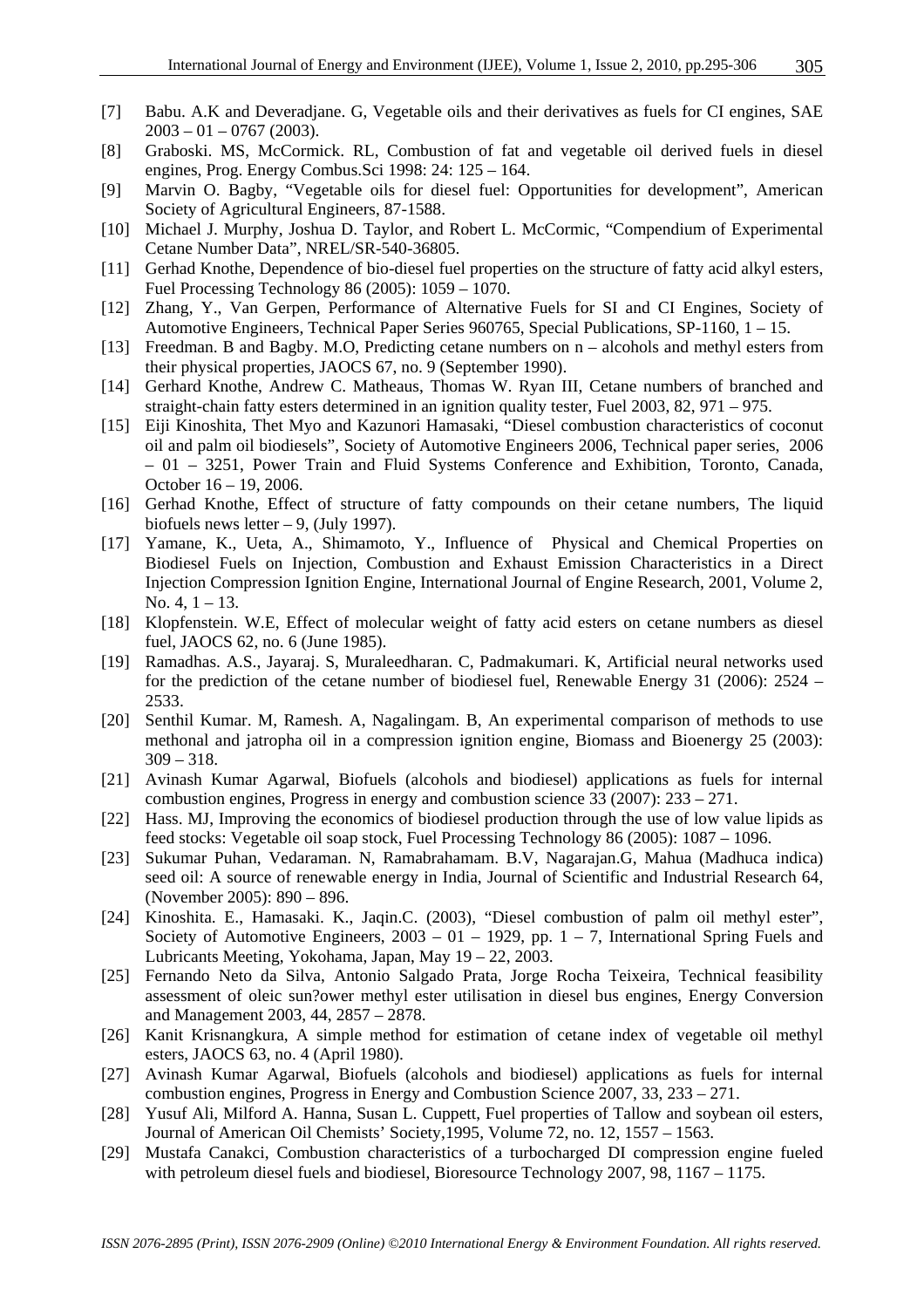- [7] Babu. A.K and Deveradjane. G, Vegetable oils and their derivatives as fuels for CI engines, SAE  $2003 - 01 - 0767$  (2003).
- [8] Graboski. MS, McCormick. RL, Combustion of fat and vegetable oil derived fuels in diesel engines, Prog. Energy Combus.Sci 1998: 24: 125 – 164.
- [9] Marvin O. Bagby, "Vegetable oils for diesel fuel: Opportunities for development", American Society of Agricultural Engineers, 87-1588.
- [10] Michael J. Murphy, Joshua D. Taylor, and Robert L. McCormic, "Compendium of Experimental Cetane Number Data", NREL/SR-540-36805.
- [11] Gerhad Knothe, Dependence of bio-diesel fuel properties on the structure of fatty acid alkyl esters, Fuel Processing Technology 86 (2005): 1059 – 1070.
- [12] Zhang, Y., Van Gerpen, Performance of Alternative Fuels for SI and CI Engines, Society of Automotive Engineers, Technical Paper Series 960765, Special Publications, SP-1160, 1 – 15.
- [13] Freedman. B and Bagby. M.O, Predicting cetane numbers on n alcohols and methyl esters from their physical properties, JAOCS 67, no. 9 (September 1990).
- [14] Gerhard Knothe, Andrew C. Matheaus, Thomas W. Ryan III, Cetane numbers of branched and straight-chain fatty esters determined in an ignition quality tester, Fuel 2003, 82, 971 – 975.
- [15] Eiji Kinoshita, Thet Myo and Kazunori Hamasaki, "Diesel combustion characteristics of coconut oil and palm oil biodiesels", Society of Automotive Engineers 2006, Technical paper series, 2006 – 01 – 3251, Power Train and Fluid Systems Conference and Exhibition, Toronto, Canada, October 16 – 19, 2006.
- [16] Gerhad Knothe, Effect of structure of fatty compounds on their cetane numbers, The liquid biofuels news letter  $-9$ , (July 1997).
- [17] Yamane, K., Ueta, A., Shimamoto, Y., Influence of Physical and Chemical Properties on Biodiesel Fuels on Injection, Combustion and Exhaust Emission Characteristics in a Direct Injection Compression Ignition Engine, International Journal of Engine Research, 2001, Volume 2, No. 4,  $1 - 13$ .
- [18] Klopfenstein. W.E, Effect of molecular weight of fatty acid esters on cetane numbers as diesel fuel, JAOCS 62, no. 6 (June 1985).
- [19] Ramadhas. A.S., Jayaraj. S, Muraleedharan. C, Padmakumari. K, Artificial neural networks used for the prediction of the cetane number of biodiesel fuel, Renewable Energy 31 (2006): 2524 – 2533.
- [20] Senthil Kumar. M, Ramesh. A, Nagalingam. B, An experimental comparison of methods to use methonal and jatropha oil in a compression ignition engine, Biomass and Bioenergy 25 (2003):  $309 - 318.$
- [21] Avinash Kumar Agarwal, Biofuels (alcohols and biodiesel) applications as fuels for internal combustion engines, Progress in energy and combustion science 33 (2007): 233 – 271.
- [22] Hass. MJ, Improving the economics of biodiesel production through the use of low value lipids as feed stocks: Vegetable oil soap stock, Fuel Processing Technology 86 (2005): 1087 – 1096.
- [23] Sukumar Puhan, Vedaraman. N, Ramabrahamam. B.V, Nagarajan.G, Mahua (Madhuca indica) seed oil: A source of renewable energy in India, Journal of Scientific and Industrial Research 64, (November 2005): 890 – 896.
- [24] Kinoshita. E., Hamasaki. K., Jaqin.C. (2003), "Diesel combustion of palm oil methyl ester", Society of Automotive Engineers,  $2003 - 01 - 1929$ , pp. 1 – 7, International Spring Fuels and Lubricants Meeting, Yokohama, Japan, May 19 – 22, 2003.
- [25] Fernando Neto da Silva, Antonio Salgado Prata, Jorge Rocha Teixeira, Technical feasibility assessment of oleic sun?ower methyl ester utilisation in diesel bus engines, Energy Conversion and Management 2003, 44, 2857 – 2878.
- [26] Kanit Krisnangkura, A simple method for estimation of cetane index of vegetable oil methyl esters, JAOCS 63, no. 4 (April 1980).
- [27] Avinash Kumar Agarwal, Biofuels (alcohols and biodiesel) applications as fuels for internal combustion engines, Progress in Energy and Combustion Science 2007, 33, 233 – 271.
- [28] Yusuf Ali, Milford A. Hanna, Susan L. Cuppett, Fuel properties of Tallow and soybean oil esters, Journal of American Oil Chemists' Society,1995, Volume 72, no. 12, 1557 – 1563.
- [29] Mustafa Canakci, Combustion characteristics of a turbocharged DI compression engine fueled with petroleum diesel fuels and biodiesel, Bioresource Technology 2007, 98, 1167 – 1175.